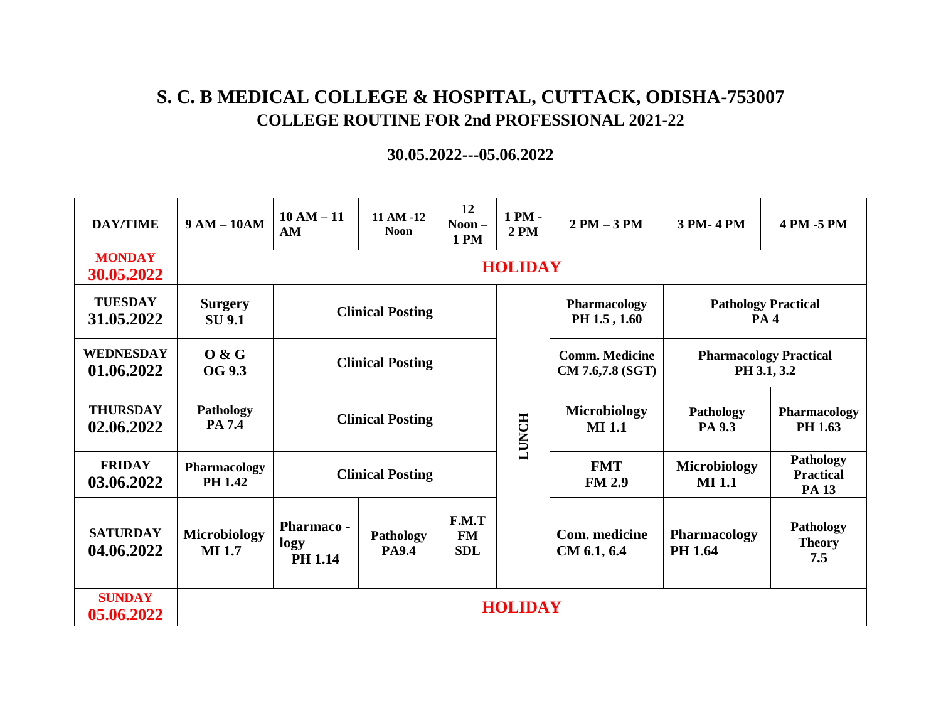| 30.05.2022---05.06.2022 |
|-------------------------|
|-------------------------|

| <b>DAY/TIME</b>                | $9 AM - 10AM$                        | $10 AM - 11$<br>AM                          | 11 AM -12<br><b>Noon</b>  | 12<br>$Noon -$<br><b>1PM</b>     | 1 PM -<br>2PM | $2 PM - 3 PM$                             | 3 PM-4 PM                                    | 4 PM -5 PM                                    |  |
|--------------------------------|--------------------------------------|---------------------------------------------|---------------------------|----------------------------------|---------------|-------------------------------------------|----------------------------------------------|-----------------------------------------------|--|
| <b>MONDAY</b><br>30.05.2022    | <b>HOLIDAY</b>                       |                                             |                           |                                  |               |                                           |                                              |                                               |  |
| <b>TUESDAY</b><br>31.05.2022   | <b>Surgery</b><br><b>SU 9.1</b>      | <b>Clinical Posting</b>                     |                           |                                  |               | Pharmacology<br>PH 1.5, 1.60              | <b>Pathology Practical</b><br><b>PA4</b>     |                                               |  |
| <b>WEDNESDAY</b><br>01.06.2022 | 0 & G<br><b>OG 9.3</b>               | <b>Clinical Posting</b>                     |                           |                                  | LUNCH         | <b>Comm. Medicine</b><br>CM 7.6,7.8 (SGT) | <b>Pharmacology Practical</b><br>PH 3.1, 3.2 |                                               |  |
| <b>THURSDAY</b><br>02.06.2022  | Pathology<br>PA 7.4                  | <b>Clinical Posting</b>                     |                           |                                  |               | <b>Microbiology</b><br><b>MI</b> 1.1      | Pathology<br>PA 9.3                          | Pharmacology<br>PH 1.63                       |  |
| <b>FRIDAY</b><br>03.06.2022    | <b>Pharmacology</b><br>PH 1.42       | <b>Clinical Posting</b>                     |                           |                                  |               | <b>FMT</b><br><b>FM 2.9</b>               | <b>Microbiology</b><br><b>MI</b> 1.1         | Pathology<br><b>Practical</b><br><b>PA 13</b> |  |
| <b>SATURDAY</b><br>04.06.2022  | <b>Microbiology</b><br><b>MI</b> 1.7 | <b>Pharmaco -</b><br>logy<br><b>PH 1.14</b> | Pathology<br><b>PA9.4</b> | F.M.T<br><b>FM</b><br><b>SDL</b> |               | Com. medicine<br>CM 6.1, 6.4              | <b>Pharmacology</b><br>PH 1.64               | <b>Pathology</b><br><b>Theory</b><br>7.5      |  |
| <b>SUNDAY</b><br>05.06.2022    | <b>HOLIDAY</b>                       |                                             |                           |                                  |               |                                           |                                              |                                               |  |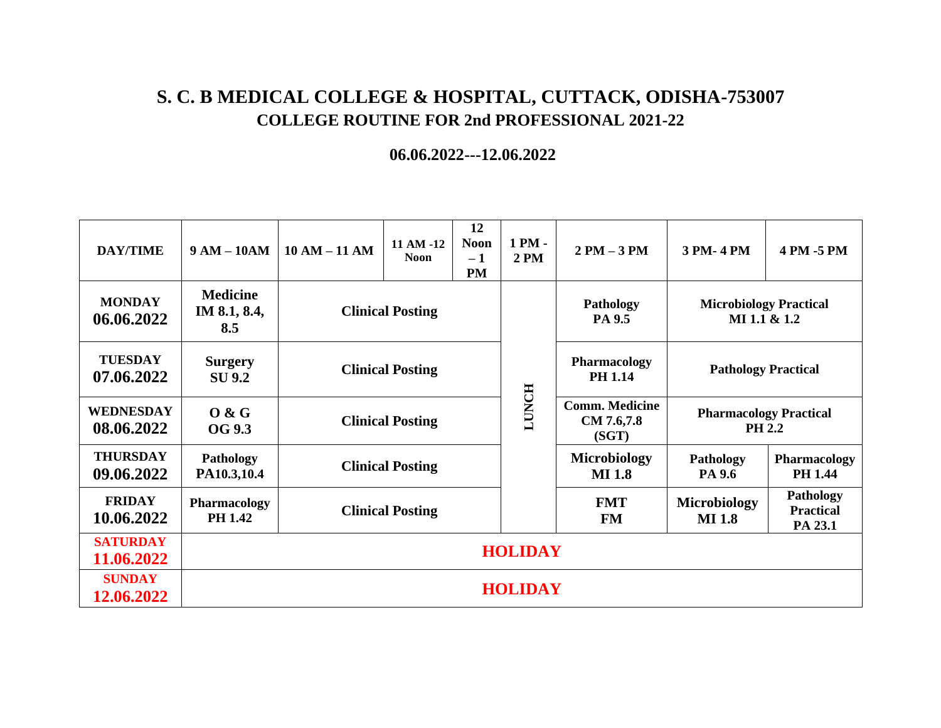**06.06.2022---12.06.2022**

| <b>DAY/TIME</b>                | $9 AM - 10AM$                          | $10 AM - 11 AM$         | 11 AM -12<br><b>Noon</b> | 12<br><b>Noon</b><br>$-1$<br><b>PM</b> | $1PM -$<br>2PM      | $2 PM - 3 PM$                                | 3 PM-4 PM                                      | 4 PM -5 PM                               |
|--------------------------------|----------------------------------------|-------------------------|--------------------------|----------------------------------------|---------------------|----------------------------------------------|------------------------------------------------|------------------------------------------|
| <b>MONDAY</b><br>06.06.2022    | <b>Medicine</b><br>IM 8.1, 8.4,<br>8.5 | <b>Clinical Posting</b> |                          |                                        | Pathology<br>PA 9.5 |                                              | <b>Microbiology Practical</b><br>MI 1.1 & 1.2  |                                          |
| <b>TUESDAY</b><br>07.06.2022   | <b>Surgery</b><br><b>SU 9.2</b>        | <b>Clinical Posting</b> |                          |                                        |                     | <b>Pharmacology</b><br><b>PH 1.14</b>        | <b>Pathology Practical</b>                     |                                          |
| <b>WEDNESDAY</b><br>08.06.2022 | O & G<br>OG 9.3                        | <b>Clinical Posting</b> |                          |                                        | <b>LUNCH</b>        | <b>Comm. Medicine</b><br>CM 7.6,7.8<br>(SGT) | <b>Pharmacology Practical</b><br><b>PH 2.2</b> |                                          |
| <b>THURSDAY</b><br>09.06.2022  | Pathology<br>PA10.3,10.4               | <b>Clinical Posting</b> |                          |                                        |                     | Microbiology<br><b>MI</b> 1.8                | Pathology<br>PA 9.6                            | Pharmacology<br><b>PH 1.44</b>           |
| <b>FRIDAY</b><br>10.06.2022    | <b>Pharmacology</b><br><b>PH 1.42</b>  | <b>Clinical Posting</b> |                          |                                        |                     | <b>FMT</b><br><b>FM</b>                      | Microbiology<br><b>MI</b> 1.8                  | Pathology<br><b>Practical</b><br>PA 23.1 |
| <b>SATURDAY</b><br>11.06.2022  | <b>HOLIDAY</b>                         |                         |                          |                                        |                     |                                              |                                                |                                          |
| <b>SUNDAY</b><br>12.06.2022    | <b>HOLIDAY</b>                         |                         |                          |                                        |                     |                                              |                                                |                                          |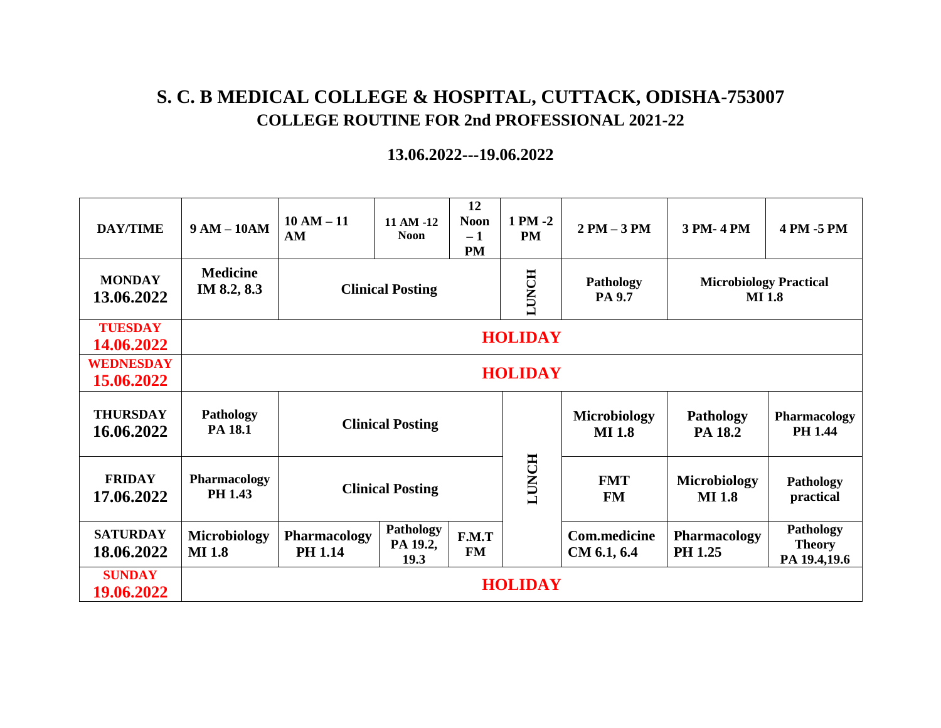#### **13.06.2022---19.06.2022**

| <b>DAY/TIME</b>               | $9 AM - 10AM$                  | $10 AM - 11$<br>AM                    | 11 AM -12<br><b>Noon</b>             | 12<br><b>Noon</b><br>$-1$<br><b>PM</b> | 1 PM -2<br><b>PM</b> | $2 PM - 3 PM$                        | 3 PM-4 PM                                      | 4 PM -5 PM                                 |  |  |
|-------------------------------|--------------------------------|---------------------------------------|--------------------------------------|----------------------------------------|----------------------|--------------------------------------|------------------------------------------------|--------------------------------------------|--|--|
| <b>MONDAY</b><br>13.06.2022   | <b>Medicine</b><br>IM 8.2, 8.3 | <b>Clinical Posting</b>               |                                      |                                        | <b>LUNCH</b>         | Pathology<br>PA 9.7                  | <b>Microbiology Practical</b><br><b>MI</b> 1.8 |                                            |  |  |
| <b>TUESDAY</b>                |                                |                                       |                                      |                                        |                      |                                      |                                                |                                            |  |  |
| 14.06.2022                    | <b>HOLIDAY</b>                 |                                       |                                      |                                        |                      |                                      |                                                |                                            |  |  |
| <b>WEDNESDAY</b>              |                                |                                       |                                      |                                        |                      |                                      |                                                |                                            |  |  |
| 15.06.2022                    | <b>HOLIDAY</b>                 |                                       |                                      |                                        |                      |                                      |                                                |                                            |  |  |
| <b>THURSDAY</b><br>16.06.2022 | <b>Pathology</b><br>PA 18.1    | <b>Clinical Posting</b>               |                                      |                                        |                      | <b>Microbiology</b><br><b>MI</b> 1.8 | <b>Pathology</b><br>PA 18.2                    | Pharmacology<br><b>PH 1.44</b>             |  |  |
| <b>FRIDAY</b><br>17.06.2022   | <b>Pharmacology</b><br>PH 1.43 | <b>Clinical Posting</b>               |                                      |                                        | <b>LUNCH</b>         | <b>FMT</b><br><b>FM</b>              | Microbiology<br><b>MI</b> 1.8                  | Pathology<br>practical                     |  |  |
| <b>SATURDAY</b><br>18.06.2022 | Microbiology<br><b>MI</b> 1.8  | <b>Pharmacology</b><br><b>PH 1.14</b> | <b>Pathology</b><br>PA 19.2,<br>19.3 | F.M.T<br><b>FM</b>                     |                      | <b>Com.medicine</b><br>CM 6.1, 6.4   | <b>Pharmacology</b><br>PH 1.25                 | Pathology<br><b>Theory</b><br>PA 19.4,19.6 |  |  |
| <b>SUNDAY</b><br>19.06.2022   | <b>HOLIDAY</b>                 |                                       |                                      |                                        |                      |                                      |                                                |                                            |  |  |